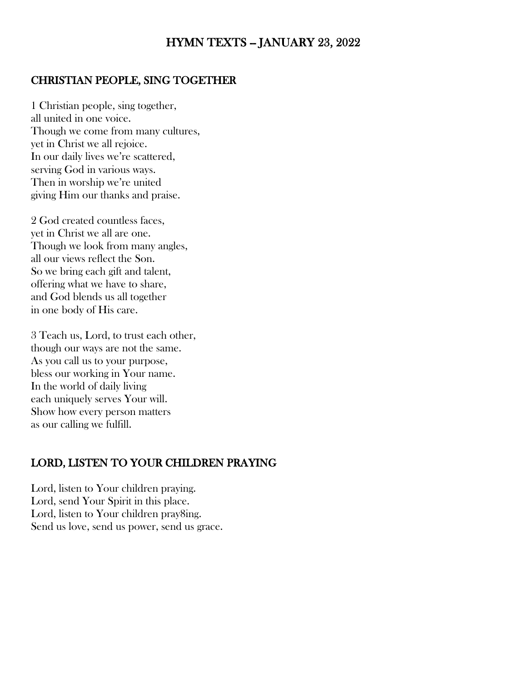# HYMN TEXTS -- JANUARY 23, 2022

### CHRISTIAN PEOPLE, SING TOGETHER

1 Christian people, sing together, all united in one voice. Though we come from many cultures, yet in Christ we all rejoice. In our daily lives we're scattered, serving God in various ways. Then in worship we're united giving Him our thanks and praise.

2 God created countless faces, yet in Christ we all are one. Though we look from many angles, all our views reflect the Son. So we bring each gift and talent, offering what we have to share, and God blends us all together in one body of His care.

3 Teach us, Lord, to trust each other, though our ways are not the same. As you call us to your purpose, bless our working in Your name. In the world of daily living each uniquely serves Your will. Show how every person matters as our calling we fulfill.

### LORD, LISTEN TO YOUR CHILDREN PRAYING

Lord, listen to Your children praying. Lord, send Your Spirit in this place. Lord, listen to Your children pray8ing. Send us love, send us power, send us grace.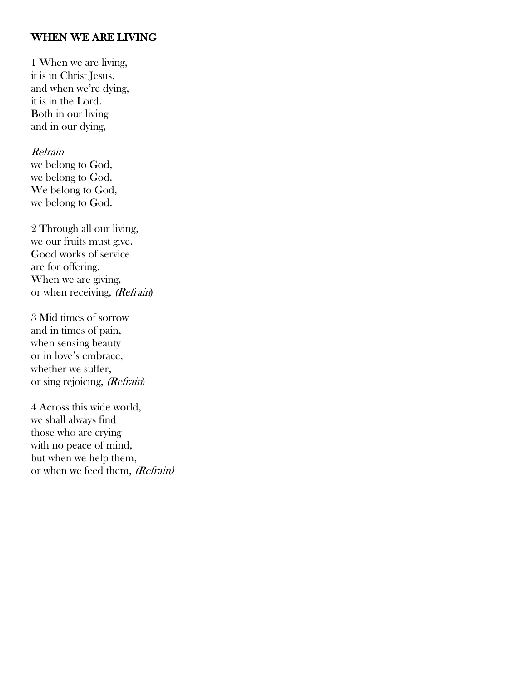## WHEN WE ARE LIVING

1 When we are living, it is in Christ Jesus, and when we're dying, it is in the Lord. Both in our living and in our dying,

#### Refrain

we belong to God, we belong to God. We belong to God, we belong to God.

2 Through all our living, we our fruits must give. Good works of service are for offering. When we are giving, or when receiving, (Refrain)

3 Mid times of sorrow and in times of pain, when sensing beauty or in love's embrace, whether we suffer, or sing rejoicing, (Refrain)

4 Across this wide world, we shall always find those who are crying with no peace of mind, but when we help them, or when we feed them, (Refrain)